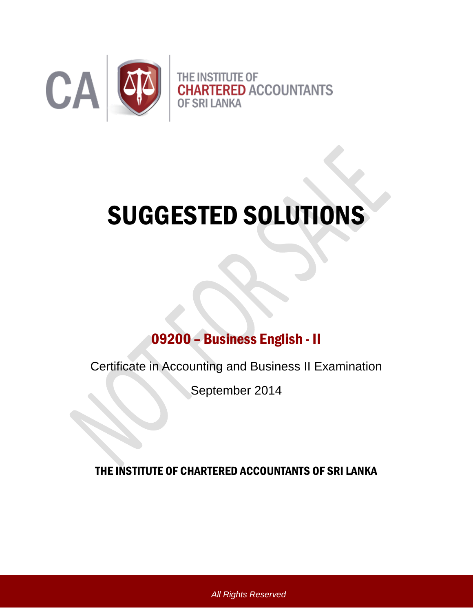

# SUGGESTED SOLUTIONS

# 09200 – Business English - II

Certificate in Accounting and Business II Examination

September 2014

THE INSTITUTE OF CHARTERED ACCOUNTANTS OF SRI LANKA

*All Rights Reserved*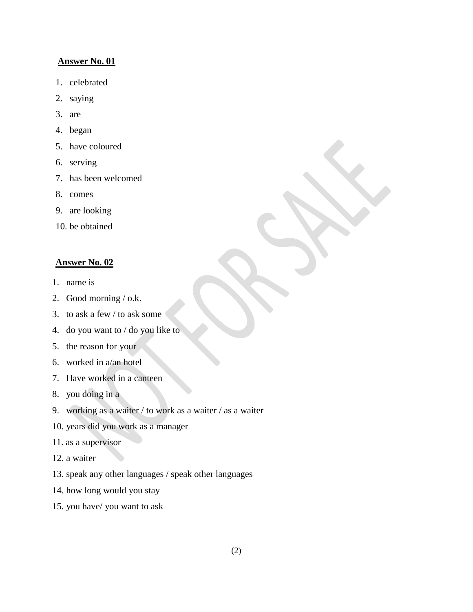#### **Answer No. 01**

- 1. celebrated
- 2. saying
- 3. are
- 4. began
- 5. have coloured
- 6. serving
- 7. has been welcomed
- 8. comes
- 9. are looking
- 10. be obtained

#### **Answer No. 02**

- 1. name is
- 2. Good morning / o.k.
- 3. to ask a few / to ask some
- 4. do you want to / do you like to
- 5. the reason for your
- 6. worked in a/an hotel
- 7. Have worked in a canteen
- 8. you doing in a
- 9. working as a waiter / to work as a waiter / as a waiter
- 10. years did you work as a manager
- 11. as a supervisor
- 12. a waiter
- 13. speak any other languages / speak other languages
- 14. how long would you stay
- 15. you have/ you want to ask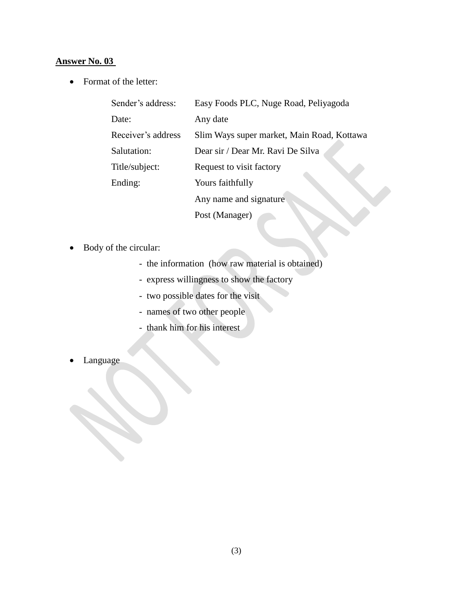### **Answer No. 03**

• Format of the letter:

| Sender's address:  | Easy Foods PLC, Nuge Road, Peliyagoda      |
|--------------------|--------------------------------------------|
| Date:              | Any date                                   |
| Receiver's address | Slim Ways super market, Main Road, Kottawa |
| Salutation:        | Dear sir / Dear Mr. Ravi De Silva          |
| Title/subject:     | Request to visit factory                   |
| Ending:            | Yours faithfully                           |
|                    | Any name and signature                     |
|                    | Post (Manager)                             |

- Body of the circular:
	- the information (how raw material is obtained)

 $\rightarrow$ 

- express willingness to show the factory
- two possible dates for the visit
- names of two other people
- thank him for his interest
- Language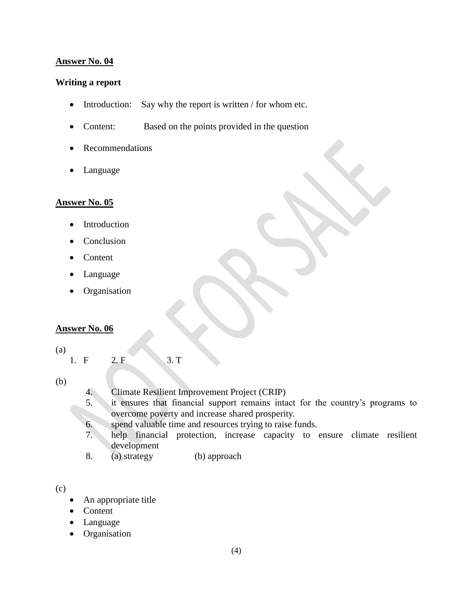#### **Answer No. 04**

#### **Writing a report**

- Introduction: Say why the report is written  $/$  for whom etc.
- Content: Based on the points provided in the question
- Recommendations
- Language

#### **Answer No. 05**

- Introduction
- Conclusion
- Content
- Language
- Organisation

#### **Answer No. 06**

(a)

1. F 2. F 3. T

(b)

- 4. Climate Resilient Improvement Project (CRIP)
- 5. it ensures that financial support remains intact for the country's programs to overcome poverty and increase shared prosperity.
- 6. spend valuable time and resources trying to raise funds.
- 7. help financial protection, increase capacity to ensure climate resilient development
- 8. (a) strategy (b) approach

- An appropriate title
- Content
- Language
- Organisation

<sup>(</sup>c)